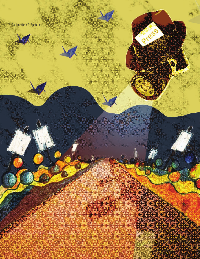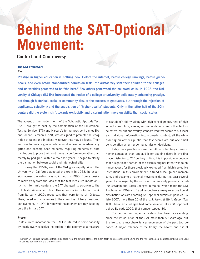# **Behind the SAT-Optional Movement:**

**Context and Controversy** 

# **The SAT Framework**

**Past**

**Prestige in higher education is nothing new. Before the internet, before college rankings, before guidebooks, and even before standardized admission tests, the aristocracy sent their children to the colleges and universities perceived to be "the best." Few others penetrated the hallowed walls. In 1928, the University of Chicago (IL) first introduced the notion of a college or university deliberately enhancing prestige, not through historical, social or community ties, or the success of graduates, but through the rejection of applicants, selectivity and the acquisition of "higher quality" students. Only in the latter half of the 20th century did the system shift towards exclusivity and discrimination more on ability than social status.** 

The advent of the modern form of the Scholastic Aptitude Test (SAT), brought to bear by the combination of the Educational Testing Service (ETS) and Harvard's former president James Bryant Conant (Lemann 1999), was designed to promote the recognition of talent and intellect, wherever they may be found. Their aim was to provide greater educational access for academically gifted and accomplished students, requiring students at elite institutions to prove their worthiness by performance rather than merely by pedigree. Within a few short years, it began to clarify the distinction between social and intellectual elite.

During the 1950s, use of the SAT grew rapidly. When the University of California adopted the exam in 1968, its expansion across the nation was solidified. In 1990, from a desire to move away from the idea that the test measures innate ability, its intent mid-century, the SAT changed its acronym to the Scholastic Assessment Test. This move marked a formal break from its early 1920s precursors that were forms of IQ tests. Then, faced with challenges to the claim that it truly measured achievement, in 1994 it removed the acronym entirely, keeping only the initials SAT.

# **Present**

In its current incarnation, the SAT1 is utilized in some capacity by nearly every selective institution in the country as a measure

of a student's ability. Along with high school grades, rigor of high school curriculum, essays, recommendations, and other factors, selective institutions overlay standardized test scores to put local and individual information into a broader context, all the while assuring an anxious public that test scores are but one small consideration when rendering admission decisions.

Today more people criticize the SAT for inhibiting access to higher education than applaud it for opening doors in the first place. Listening to  $21<sup>st</sup>$  century critics, it is impossible to deduce that a significant portion of the exam's original intent was to enhance access for those previously excluded from highly selective institutions. In this environment, a trend arose, gained momentum, and became a national movement during the past several years. Encouraged by the success of a few early pioneers including Bowdoin and Bates Colleges in Maine, which made the SAT 1 optional in 1969 and 1984 respectively, many selective liberal arts institutions are adopting SAT-optional admission policies. By late 2007, more than 25 of the *U.S. News & World Report* Top 100 Liberal Arts Colleges had some variation of an SAT-optional policy. By early 2009, that number topped 30.

Competition in higher education has been accelerating since the introduction of the SAT more than 50 years ago, but the frenzied atmosphere is a phenomenon of the past two decades. A major influence of the frenzy, the advent and rise of

<sup>&</sup>lt;sup>1</sup> The term SAT is used throughout this study, aside from the direct history of the exam itself, to represent both the SAT and the ACT as the dominant standardized tests used in college admission in the United States.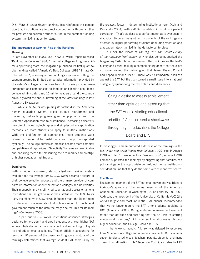*U.S. News & World Report* rankings, has reinforced the perception that institutions are in direct competition with one another for prestige and desirable students. And in the dominant ranking system, the SAT is at center stage.

# **The Importance of Scoring: Rise of the Rankings Dawning**

In late November of 1983, U.S. News & World Report released "Ranking the Colleges 1984, " the first college ranking issue. After a sputtering start, the magazine published its first quantitative rankings called "America's Best Colleges 1988" in late October of 1987, releasing annual rankings ever since. Filling the vacuum created by limited comparative information provided by the nation's colleges and universities, U.S. News provided measurements and comparisons to families and institutions. Today, college administrators and 11 million readers around the country anxiously await the annual unveiling of the latest rankings in late August (USNews.com).

While *U.S. News* was gaining its foothold in the American higher education system, broad student recruitment and marketing outreach programs grew in popularity, and the Common Application rose to prominence. Increasing selectivity, new direct marketing techniques and simpler college application methods led more students to apply to multiple institutions. With the proliferation of applications, more students were refused admission at top institutions, and the process spiraled cyclically. The college admission process became more complex, competitive and mysterious. "Selectivity" became an unavoidable and enduring metric for measuring the desirability and prestige of higher education institutions.

# **Dominance**

With no other recognized, statistically-driven ranking system available for the average family, *U.S. News* became a fixture in their college selection process and the primary provider of comparative information about the nation's colleges and universities. Their monopoly and visibility led to a national obsession among institutions that sought to raise their status on the U.S. News lists. It's reflective of U.S. News' influence that "the Department of Education now mandates that schools report to the federal government much of the data the magazine requires for its rankings" (Confessore 2003).

In part due to *U.S. News*, institutions advanced strategies designed to help admit and enroll students with ever higher SAT scores. High student scores became the dominant sign of quality and educational excellence. Though officially accounting for less than 10 percent of the overall ranking score, a study of the rankings determined that average student SAT score is by far

the greatest factor in determining institutional rank (Kuh and Pascarella 2004), with a -0.89 correlation (1 or -1 is a perfect correlation). That's as close to a perfect match as is ever seen in statistics. Since so many other components of the rankings are affected by higher performing students (including retention and graduation rates), the SAT is the de facto centerpiece.

In 1999, the release of *The Big Test: The Secret History of the American Meritocracy*, by Nicholas Lemann, sparked the burgeoning SAT-optional movement. The book probes the test's history and usage, making a compelling argument that the exam no longer served the public good that James Bryant Conant had hoped (Lemann 1999). There was no immediate backlash against the SAT, but the book turned a small issue into a national dialogue by quantifying the test's flaws and drawbacks.

Citing a desire to assess achievement rather than aptitude and asserting that the SAT was "distorting educational priorities," Atkinson sent a shockwave through higher education, the College Board and ETS.

Interestingly, Lemann authored a defense of the rankings in the *U.S. News and World Report Best Colleges 1999* issue in August 1998, entitled "Universities Use Rankings, Too" (Lemann 1998). Lemann supported the rankings by suggesting that families can put rankings in the appropriate context, not unlike institutions' confident claims that they do the same with student test scores.

# **The Threat**

The seminal moment of the SAT-optional movement was Richard Atkinson's speech at the annual meeting of the American Council on Education in Washington, DC on February 18, 2001. Atkinson, then president of the University of California (UC) (the world's largest and most influential SAT client), recommended "that we no longer require the SAT 1 for students applying to UC" (Atkinson 2001). Citing a desire to assess achievement rather than aptitude and asserting that the SAT was "distorting educational priorities," Atkinson sent a shockwave through higher education, the College Board and ETS.

In the following months, Atkinson was deluged by responses from "hundreds of college and university presidents, CEOs, alumni, superintendents, principals, teachers, parents, students, and many others from all walks of life" (Atkinson 2001), and also by ETS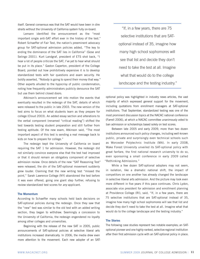itself. General consensus was that the SAT would have been in dire straits without the University of California system fully on-board.

Lemann identified the announcement as the "most important single anti-SAT effort ever in the history of the test." Robert Schaeffer of Fair Test, the nation's preeminent advocacy group for SAT-optional admission policies added, "The key to ending the dominance of the SAT lies in California" (Gose and Selingo 2001). Kurt Landgraf, president of ETS shot back, "I hear a lot of people criticize the SAT, I've yet to hear what should be put in its place." Gaston Caperton, president of the College Board, pointed out how prohibitively expensive it is to develop standardized tests with fair questions and exam security. He boldly asserted, "Nobody is going to spend their money that way." Other experts alluded to the hypocrisy of public condemnation, noting how frequently administrators publicly denounce the SAT but use them behind closed doors.

Atkinson's announcement set into motion the events that eventually resulted in the redesign of the SAT, details of which were released to the public in late 2003. The new version of the test aims to focus on what students learn as they prepare for college (Cloud 2003). An added essay section and alterations to the verbal component (renamed "critical reading") shifted the test towards testing student preparation and still further from testing aptitude. Of the new exam, Atkinson said, "The most important aspect of this test is sending a real message back to kids on how to prepare for college."

The redesign kept the University of California on board requiring the SAT 1 for admission. However, the redesign did not similarly convince everyone else that the test had improved or that it should remain an obligatory component of selective admission review. Once details of the new "SAT Reasoning Test" were released, the din of the SAT-optional movement suddenly grew louder. Claiming that the new writing test "missed the point," Sarah Lawrence College (NY) abandoned the test before it was even offered, going one giant step further, refusing to review standardized test scores for *any* applicant.

# **The Momentum**

According to Schaeffer many schools held back decisions on SAT-optional policies during the redesign. Once they saw that the "new" test was similar to the old test with an added writing section, they began to withdraw. Seemingly a concession to the University of California, the redesign engendered no loyalty among other colleges and universities.

Beginning with the release of the new SAT in 2005, public announcements of SAT-optional policies at selective liberal arts institutions increased dramatically. In 2006, the media drew even more attention to the movement. Each new adopter of an SAT-

"If, in a few years, there are 75 selective institutions that are SAToptional instead of 35, imagine how many high school sophomores will see that list and decide they don't need to take the test at all. Imagine what that would do to the college landscape and the testing industry."

optional policy was highlighted in industry news articles, the vast majority of which expressed general support for the movement, including quotations from enrollment managers at SAT-optional institutions. That September, standardized testing was one of the most prominent discussion topics at the NACAC national conference (Farrell 2006), at which a NACAC committee unanimously voted to ban admission or scholarships based solely on test scores.

Between late 2005 and early 2009, more than two dozen institutions announced such policy changes, including well-known public, private and surprisingly even technical schools such as Worcester Polytechnic Institute (MA). In early 2008, Wake Forest University unveiled its SAT-optional policy with great fanfare, the first national research university to do so, even sponsoring a small conference in early 2009 called "Rethinking Admissions."

While a few dozen SAT-optional adopters may not seem, in isolation, like a dramatic national shift, the impact of competitors on one another has already changed the landscape in selective liberal arts admission. And the picture may look even more different in five years if this pace continues. Chris Lydon, associate vice president for admission and enrollment planning at Providence College (RI), said, "If, in a few years, there are 75 selective institutions that are SAT-optional instead of 35, imagine how many high school sophomores will see that list and decide they don't need to take the test at all. Imagine what that would do to the college landscape and the testing industry."

# **The Stories**

The following case studies represent two notable examples; an SAToptional pioneer and one highly-ranked, selective regional institution after their first admission cycle with an SAT-optional policy in place.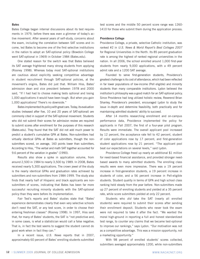# **Bates**

Bates College began internal discussions about its test requirements in 1979, before there was even a glimmer of today's active movement. After several years of self-study, concerns about the exam, including the correlation between SAT scores and income, led Bates to become one of the first selective institutions in the nation to adopt an SAT-optional policy (Bowdoin College went SAT-optional in 1969) in October 1984 (Bates.edu).

One stated reason for the switch was that Bates believed its SAT average frightened many strong students from applying (Rooney 1998). Whereas today most SAT-optional institutions are cautious about explicitly seeking competitive advantage in student recruitment through SAT-optional policies, at the movement's origins, Bates did just that. William Hiss, Bates' admission dean and vice president between 1978 and 2000 said, "If I had had to choose making tests optional and losing 1,000 applications it would have been tough. But when you gain 1,000 applications? There's no downside."

Bates implemented its policy with great care. Today, its evaluation studies (released after five, 10 and 20 years of SAT-optional) are commonly cited in support of the SAT-optional movement. Students who did not submit their scores for admission review are required to submit scores after enrollment for the purposes of this research (Bates.edu). They found that the SAT did not add much power to predict a student's cumulative GPA at Bates. Non-submitters had virtually identical GPAs at Bates as submitters, though the nonsubmitters scored, on average, 160 points lower than submitters. According to Hiss, "The verbal and math SAT together accounted for 9.6 percent of the variation in grades" (1990).

Results also show a spike in application volume, from around 2,500 in 1984 to nearly 3,500 by 1989. In 2008, Bates received nearly 5,300 applications. The crown jewel of the study is the nearly identical GPAs and graduation rates achieved by submitters and non-submitters from 1984-1999. The study also finds that nearly half of Hispanic and black applicants are nonsubmitters of scores, indicating that Bates has been far more successful recruiting minority students with the SAT-optional policy than they were before its implementation.

Fair Test's reports and Bates' studies state that "Bates' experience demonstrates clearly that even very selective schools don't need the SAT, or any test score, in order to choose their entering freshman classes" (Rooney 1998). In 1997, Hiss said that, for many of Bates' students, the SAT is "not predictive and, in some cases, is what a statistician would call a false negative. That is, in fact the test seems to suggest the student cannot do good work when in fact they can."

In a recent issue, *U.S. News* reports that in 2007, approximately 60 percent of Bates' enrolling students submitted

test scores and the middle 50 percent score range was 1260- 1410 for those who submit them during the application process.

# **Providence College**

Providence College, a private, selective Catholic institution, was ranked #2 in *U.S. News & World Report's Best Colleges 2007* for Regional Universities in the North. Its 85 percent graduation rate is among the highest of ranked regional universities in the nation. In all 2006, the school enrolled around 1,000 first-year students from nearly 9,000 applications, with a 49 percent admit rate and a 1200 SAT average.

Founded to serve first-generation students, Providence's greatest challenge is its cost of attendance, which had been reflected in far lower populations of low-income (Pell eligible) and minority students than many comparable institutions. Lydon believed the institution's philosophy was a good match for an SAT-optional policy. Since Providence had long utilized holistic review, Reverend Brian Shanley, Providence's president, encouraged Lydon to study the issue in-depth and determine feasibility, both practically and for maintaining admitted students' ability to succeed.

After 14 months researching enrollment and on-campus performance data, Providence implemented the policy for applicants in Fall 2007, the first of a four-year pilot program. Results were immediate. The overall applicant pool increased by 12 percent, the acceptance rate fell to 42 percent, student of color applications rose by 17 percent, and first-generation student applications rose by 21 percent. "The applicant pool beat our expectations on several levels," said Lydon.

Providence College freed up nearly an additional \$1 million for need-based financial assistance, and provided stronger needbased awards to many admitted students. The enrolling class results were even more impressive. There was a 19 percent increase in first-generation students, a 19 percent increase in students of color, and a 56 percent increase in Pell-eligible students. Student quality in terms of GPA and high school class ranking held steady from the year before. Non-submitters made up 27 percent of enrolling students and yielded at a 35 percent rate, while score submitters yielded at only 22 percent.

Students who *did* take the SAT (nearly all enrolled students) were required to submit their scores after sending their enrollment deposit. Students who never took the exam were not required to take it after the fact. "We wanted the moral high-ground in reporting a full and honest standardized test range, to counter any claims that we became test-optional to improve our rankings," says Lydon. "Our motivation was not as a competitive advantage. This was a mission opportunity, not a marketing opportunity."

With 98 percent of enrolled students' scores collected, submitters averaged approximately 1200, while non-submitters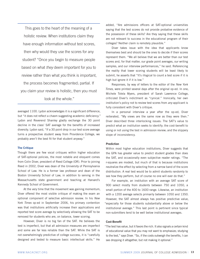This goes to the heart of the meaning of a holistic review. When institutions claim they have enough information without test scores, then why would they use the scores for any student? "Once you begin to measure people based on what *they* deem important for you to review rather than what *you* think is important, the process becomes fragmented; partial. If you claim your review is holistic, then you must look at the whole."

averaged 1100. Lydon acknowledges it is a significant difference, but "it does not reflect a chasm suggesting academic deficiency." Lydon and Reverend Shanley gladly exchange the 30 point decline in the class' SAT average for the benefits of increased diversity. Lydon said, "If a 30 point drop in our test score average turns a prospective student away from Providence College, we probably aren't the best fit for that student anyway."

# **The Critique**

Though there are few vocal critiques within higher education of SAT-optional policies, the most notable and eloquent comes from Colin Diver, president of Reed College (OR). Prior to joining Reed in 2002, Diver was dean of the University of Pennsylvania School of Law. He is a former law professor and dean of the Boston University School of Law, in addition to serving in the Massachusetts state government and teaching at Harvard's Kennedy School of Government.

At the very time that the movement was gaining momentum, Diver offered the most visible critique of making the exam an optional component of selective admission review. In his *New York Times* op-ed in September 2006, his primary contention was that institutions artificially increase their applications and reported test score average by selectively allowing the SAT to be removed for students who are, on balance, lower scoring.

However, Diver is no big fan of the SAT. He believes the test is imperfect, but that all admission measures are imperfect and some are far less reliable than the SAT. While the SAT is not overwhelmingly predictive of college success, it is "carefully designed and tested to measure basic intellectual skills." He added, "Are admissions officers at SAT-optional universities saying that the test scores do not provide probative evidence of the possession of these skills? Are they saying that these skills are not relevant to success in the educational program of their colleges? Neither claim is remotely plausible."

Diver takes issue with the idea that applicants know themselves best and should be the ones to decide if their scores represent them. "We all believe that we are better than our test scores and, for that matter, our grade point averages, our writing samples, and our interview performances," he said. Referencing the reality that lower scoring students will be least likely to submit, he asserts that "It's illogical to count a test score if it is high but ignore it if it is low."

Responses, by way of letters to the editor of the *New York Times*, were printed several days after the original op-ed. In one, Michele Tolela Myers, president of Sarah Lawrence College, criticized Diver's indictment as "cynical." Ironically, her own institution's policy not to review test scores from *any* applicant is fully consistent with Diver's critique.

In a personal interview a year after the op-ed, Diver reiterated, "My views are the same now as they were then." Diver described three interlocking issues: The SAT's value to predict what an institution seeks to identify; the cost-benefit to using or not using the test in admission review; and the slippery slope of inconsistency.

# **Prediction**

Within most higher education institutions, Diver suggests that the GPA has greater value to predict student grades than does the SAT, and occasionally even subjective reader ratings. "The r-squares are modest, but much of that is because institutions neutralize the effect by selecting from a narrow band of the score distribution. A real test would be to admit students randomly to see how they perform, but of course no one will ever do that."

For example, an institution with an average SAT score of 900 select mostly from students between 750 and 1050, a small portion of the 400 to 1600 range. Likewise, an institution with a 1200 average selects primarily between 1050 and 1350. However, the SAT almost always has positive predictive value, "especially for those students substantially above or below the institutional average." This last point is pertinent since typical non-submitters tend to be well below institutional averages.

## **Cost-Benefit**

"The test has value, but it favors the rich. It also signals a certain kind of educational value that you may not want to emphasize; studying to the test," says Diver. "So, if the costs outweigh the benefits, I can see dropping it altogether, but not making it optional."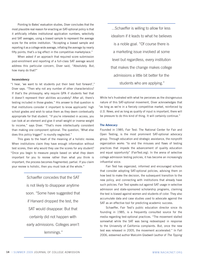Pointing to Bates' evaluation studies, Diver concludes that the most plausible real reason for enacting an SAT-optional policy is that it artificially inflates institutional application numbers, selectivity and SAT averages, using a biased sample to represent the average score for the entire institution. "Accepting a biased sample and reporting it as a college-wide average, inflating the average by nearly fifty points; that's a big effect in the competitive marketplace."

When asked if an approach that required score submission post-enrollment and reporting of a full-class SAT average would address this particular concern, Diver said, "Absolutely. But, how many do that?"

# **Inconsistency**

"I hear, 'we want to let students put their best foot forward'," Diver says. "Then why not any number of other characteristics? If that's the philosophy, why require GPA if students feel that it doesn't represent their abilities accurately? After all, there's testing included in those grades." His answer to that question is that institutions consider it important to know applicants' high school grades and wish to value them as they deem contextually appropriate for that student. "If you're interested in access, you can look at an element and give it small weight or inverse weight to income," says Diver. "That's more intellectually consistent than making one component optional. The question, 'What else does this policy trigger?' is roundly neglected."

This goes to the heart of the meaning of a holistic review. When institutions claim they have enough information without test scores, then why would they use the scores for any student? "Once you begin to measure people based on what *they* deem important for you to review rather than what *you* think is important, the process becomes fragmented; partial. If you claim your review is holistic, then you must look at the whole."

> Schaeffer concedes that the SAT is not likely to disappear anytime soon. "Some have suggested that if Harvard dropped the test, the SAT would disappear. But that certainly did not happen with early admissions. Colleges aren't lemmings."

...Schaeffer is willing to allow for less idealism if it leads to what he believes is a noble goal. "Of course there is a marketing issue involved at some level but regardless, every institution that makes the change makes college admissions a little bit better for the students who are applying."

While he's frustrated with what he perceives as the disingenuous nature of this SAT-optional movement, Diver acknowledges that "as long as we're in a fiercely competitive market, reinforced by *U.S. News*, and as long as quality of input is important, there will be pressure to do this kind of thing. It will certainly continue."

# **The Advocacy**

Founded in 1985, Fair Test: The National Center for Fair and Open Testing, is the most prominent SAT-optional advocacy group. Through education and strategic assistance, the nonprofit organization works "to end the misuses and flaws of testing practices that impede the advancement of quality education and equal opportunity" (FairTest.org). In the arena of selective college admission testing policies, it has become an increasingly influential voice.

Fair Test has organized, informed and encouraged schools that consider adopting SAT-optional policies, advising them on how best to make the decision, the subsequent transition to the new policy, and connecting with institutions that already have such policies. Fair Test speaks out against SAT usage in selective admission and state-sponsored scholarship programs, claiming the test is biased against women and students of color. They also accumulate data and case studies used to advocate against the SAT as an effective tool for predicting academic success.

Schaeffer, Fair Test's public education director since its founding in 1985, is a frequently consulted source for the media regarding test-optional practices. "The movement stalled somewhat while the SAT was being redeveloped in response to the University of California complaints. But, once the new test was released in 2005, the movement accelerated." In Fall 2006, esteemed author Malcolm Gladwell (author of *The Tipping*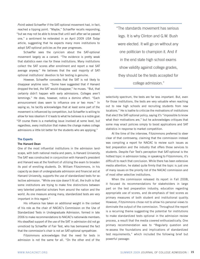*Point*) asked Schaeffer if the SAT-optional movement had, in fact, reached a tipping point. "Maybe," Schaeffer recalls responding, "but we may not be able to know that until well after we've passed one," a sentiment he reiterated in an April 2009 *USA Today*  article, suggesting that he expects many more institutions to adopt SAT-optional policies as the year progresses.

Schaeffer sees the cynicism about the SAT-optional movement largely as a canard. "The evidence is pretty weak that statistics even rise for these institutions. Many institutions collect the SAT scores after enrollment and report a real SAT average anyway." He believes that the vast majority of SAToptional institutions' devotion to fair testing is genuine.

However, Schaeffer concedes that the SAT is not likely to disappear anytime soon. "Some have suggested that if Harvard dropped the test, the SAT would disappear," he muses. "But, that certainly didn't happen with early admissions. Colleges aren't lemmings." He does, however, notice a domino effect. "Each announcement does seem to influence one or two more." In saying so, he tacitly acknowledges that at least some part of the movement is influenced by competition, but Schaeffer is willing to allow for less idealism if it leads to what he believes is a noble goal. "Of course there is a marketing issue involved at some level, but regardless, every institution that makes the change makes college admissions a little bit better for the students who are applying."

#### **The Experts**

#### **The Harvard Dean**

One of the most influential institutions in the admission landscape, with both national media and peers, is Harvard University. The SAT was constructed in conjunction with Harvard's president and Harvard was at the forefront of utilizing the exam to broaden its pool of enrolling students. Dr. William Fitzsimmons, in his capacity as dean of undergraduate admission and financial aid at Harvard University, supports the use of standardized tests for selective admission. "While one size doesn't fit all, the truth is that some institutions are trying to make fine distinctions between very talented potential scholars from around the nation and the world. As one measure among many, standardized tests are very important in this regard."

His influence has taken on additional weight in the context of his role as the chair of NACAC's Commission on the Use of Standardized Tests in Undergraduate Admission, formed in late 2006 to make recommendations to NACAC's nationwide members. His steadfast support of the use of the SAT in admission did not go unnoticed by Schaeffer of Fair Test, who has bemoaned the fact that the commission's chair is not an SAT-optional sympathizer.

Fitzsimmons acknowledges that the need for tests in admission is not the same for all. "On the other end of the

"The standards movement has serious legs. It is why Clinton and G.W. Bush were elected. It will go on without any one politician to champion it. And if in the end state high school exams show validity against college grades, they should be the tests accepted for college admission."

selectivity spectrum, the tests are far less important. But, even for those institutions, the tests are very valuable when reaching out to new high schools and recruiting students from new locations." He is loathe to criticize the motivations of institutions that elect the SAT-optional policy, saying it's "impossible to know what their motivations are," but he acknowledges critiques that some may enact policies simply to boost applications and SAT statistics in response to market competition.

At the time of the interview, Fitzsimmons preferred to steer clear of that controversy, claiming that the commission instead was compiling a report for NACAC to review such issues as test preparation and the industry that offers those services to students. Despite Fair Test's perception that SAT-optional is the hottest topic in admission today, in speaking to Fitzsimmons, it's difficult to reach that conclusion. While there has been extensive media attention, he stated quite firmly that the topic is just one of many issues on the priority list of the NACAC commission and of most other selective institutions.

When the commission released its report in Fall 2008, it focused its recommendations for stakeholders in large part on the test preparation industry, education regarding appropriate use of scores, and de-emphasis of test scores as primary measures of both student and institutional quality. However, Fitzsimmons chose not to allow his personal views to dominate the output of the commission. Throughout the report is a recurring theme suggesting the potential for institutions to make standardized tests optional in the admission review process, a result that the media covered enthusiastically. One primary recommendation was to "Regularly question and re-assess the foundations and implications of standardized test requirements," which included the following brief but powerful passage: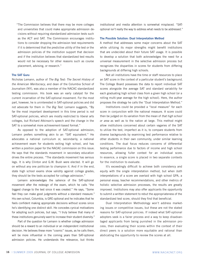"The Commission believes that there may be more colleges and universities that could make appropriate admission decisions without requiring standardized admission tests such as the ACT and SAT. The Commission encourages institutions to consider dropping the admission test requirements if it is determined that the predictive utility of the test or the admission policies of the institution support that decision and if the institution believes that standardized test results would not be necessary for other reasons such as course placement, advising, or research."

# **The SAT Guru**

Nicholas Lemann, author of *The Big Test: The Secret History of the American Meritocracy*, and dean of the Columbia School of Journalism (NY), was also a member of the NACAC standardized testing commission. His book was an early catalyst for the current incarnation of the SAT-optional movement. For the most part, however, he is uninterested in SAT-optional policies and did not advocate for them in *The Big Test*. Lemann suggests, "By far the most important development in this time period is *not*  SAT-optional policies, which are mostly restricted to liberal arts colleges, but Richard Atkinson's speech and the change in the SAT to a somewhat more achievement-based format."

As opposed to the adoption of SAT-optional admission, Lemann prefers something akin to an "SAT equivalent." He advocates a national curriculum or, secondarily, a national achievement exam for students exiting high school, and has written a position paper for the NACAC commission on this issue. He says that the standards movement in secondary education drives the entire process. "The standards movement has serious legs. It is why Clinton and G.W. Bush were elected. It will go on without any one politician to champion it. And if in the end, state high school exams show validity against college grades, they should be the tests accepted for college admission."

Lemann acknowledges the salience of the SAT-optional movement after the redesign of the exam, which he calls "the biggest change to the test since it was created." He says, "Some feel they can make good judgments without a standard measure." His own school, Columbia, is GRE-optional and he indicates that he feels confident making appropriate decisions without scores since he's identifying one distinct skill. He concedes cynical motivations for adopting such policies, but says, "I truly believe that many of these institutions genuinely want to increase their student diversity."

Part of the question for Lemann is whether college admission should be a reward to an individual or an independent institutional decision. He believes these more "cosmic" issues, as he calls them, will be more influential in the coming years than SAT-optional admission policies. He understands the relevance, but thinks

institutional and media attention is somewhat misplaced. "SAToptional isn't really the way to address what needs to be addressed."

# **The Possible Solution: Dual Interpretation Method**

A method that addresses some major concerns about the SAT while utilizing its major strengths might benefit institutions that are undecided about their future SAT usage. It is possible to develop a solution that both acknowledges the need for a universal measurement in the selective admission process but recognizes the disparities in scores for students from differing backgrounds at differing high schools.

Not all institutions have the time or staff resources to place an SAT score in the context of a particular student's background. The College Board possesses the data to report individual SAT scores alongside the average SAT and standard variability for each graduating high school class from a given high school (or a rolling multi-year average for the high school). Here, the author proposes the strategy he calls the "Dual Interpretation Method."

Institutions could be provided a "local measure" for each score in conjunction with the national measure. A score could then be judged on its variation from the mean of *that high school or area* as well as to the nation at large. This method might allow institutions concerned about certain vagaries of the SAT to utilize the test, imperfect as it is, to compare students from diverse backgrounds by examining test performance relative to other students in their own community, under similar learning conditions. The dual focus reduces concerns of differential testing performance due to factors of income and high school resources, allowing fuller context for an individual score. In essence, a single score is placed in two separate contexts for the institution to evaluate.

It's exceedingly difficult to achieve both consistency and equity with the single interpretation method, but when *both*  interpretations of a score are overlaid with high school GPA, a personal essay, teacher recommendations, and other metrics of holistic selective admission processes, the results are greatly improved. Institutions may also offer applicants the opportunity to submit a written statement to rebut the appropriateness of the standardized test score, should they find that beneficial.

Dual Interpretation Methodology won't address marketing issues or competitive issues, but these are not the stated reasons for SAT-optional policies. If indeed what SAT-optional adopters seek is a fairer process and a way to keep disadvantaged applicants from being punished in the admission process, then evaluating their scores within the context of their direct peers is a solution more equitable and rational than abdicating the opportunity to review the scores at all.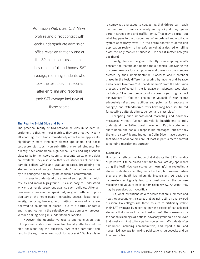Admission Web sites, *U.S. News*  profiles and direct contact with each undergraduate admission office revealed that only one of the 32 institutions asserts that they report a full and honest SAT average, requiring students who took the test to submit scores after enrolling and reporting their SAT average inclusive of those scores.

# **The Reality: Bright Side and Dark**

The practical reality of SAT-optional policies in student recruitment is that, on most metrics, they are effective. Nearly all adopting institutions immediately attract more applicants, significantly more ethnically diverse applicants, and boost test-score statistics. Non-submitting enrolled students frequently have comparable high school GPAs and high school class ranks to their score-submitting counterparts. Where data are available, they also show that such students achieve comparable college GPAs and graduation rates, broadening the student body and doing no harm to its "quality," as measured by pre-collegiate and collegiate academic achievement.

It's easy to understand the allure of such publicity, quick results and moral high-ground. It's also easy to understand why critics rarely speak out against such policies. After all, how *does* a professional speak out, in good faith, in opposition *not* of the noble goals (increasing access, fostering diversity, removing barriers, and limiting the role of an exam believed to be unfair or biased), but of a particular tactic and its application in the selective college admission process, without risking being misunderstood or labeled?

However, the quantitative results and conclusion that SAT-optional institutions make functionally effective admission decisions beg the question, "Are those particular end results the right measuring stick for success?" Such a claim

is somewhat analogous to suggesting that drivers can reach destinations in their cars safely and quickly if they ignore certain street signs and traffic lights. That may be true, but what happens to the broader goal of an ordered and equitable system of roadway travel? In the entire context of admission application review, is the safe arrival at a desired enrolling class the only marker of success? Or does it matter how you got there?

Finally, there is the great difficulty in unwrapping what's beneath the rhetoric and behind the outcomes, uncovering the unspoken reasons for such policies and unseen inconsistencies created by their implementation. Concerns about potential biases in the test, differential scoring by income and by race, and a desire to remove "SAT pandemonium" from the admission process are reflected in the language on adopters' Web sites, including: "The best predictor of success is your high school achievement;" "You can decide for yourself if your scores adequately reflect your abilities and potential for success in college;" and "Standardized tests have long been scrutinized for possible cultural, ethnic, gender, and class bias."

Accepting such impassioned marketing and advocacy messages without further analysis is insufficient to fully understand the SAT-optional movement. Public statements share noble and socially responsible messages, but are they the entire story? Many, including Colin Diver, have concerns that SAT-optional policies are, at least in part, a mere shortcut to genuine recruitment outreach.

# **Suspicions**

How can an ethical institution that distrusts the SAT's validity or perceives it to be biased continue to evaluate *any* applicants using the test? How can scores be meaningful in evaluating a student's abilities when they are submitted, but irrelevant when they are withheld? It's inherently inconsistent. At best, the inconsistencies logically lead to a breakdown in the purpose, meaning and value of holistic admission review. At worst, they may be perceived as hypocritical.

But, what institutions *do* with scores that are submitted and how they account for the scores that are not is still an unanswered question. Do colleges use these policies to artificially inflate their SAT averages by reporting only the scores of self-selected students that choose to submit test scores? The spokesman for the nation's leading SAT-optional advocacy group said he believes that most such institutions gather scores from *all* students after enrollment, including non-submitters, and report a full and honest SAT average to ranking publications, guidebooks and on their Web sites.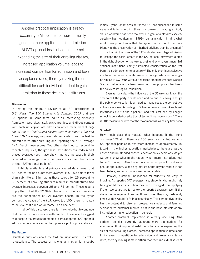Another practical implication is already occurring. SAT-optional policies currently generate more applications for admission.

At SAT-optional institutions that are not expanding the size of their enrolling classes,

increased application volume leads to increased competition for admission and lower acceptance rates, thereby making it more difficult for each individual student to gain admission to these desirable institutions.

## **Discoveries**

In testing this claim, a review of all 32 institutions in *U.S. News' Top 100 Liberal Arts Colleges 2009* that are SAT-optional in some form led to an interesting discovery. Admission Web sites, *U.S. News* profiles, and direct contact with each undergraduate admission office revealed that *only one of the 32 institutions asserts that they report a full and honest SAT average*, requiring students who took the test to submit scores after enrolling and reporting their SAT average *inclusive* of those scores. Two others declined to respond to repeated inquiries, though these institutions assuredly report biased averages (both have shown marked increases in their reported score range in only two years since the introduction of their SAT-optional policies).

Publicly available and privately shared data reveal that SAT scores for non-submitters average 100-150 points lower than submitters. Eliminating those scores for 25 percent to 50 percent of enrolling students results in manufactured SAT average increases between 25 and 75 points. These results imply that 31 of the 32 SAT-optional institutions in question are the beneficiaries of SAT average boosts. In the hypercompetitive space of the *U.S. News* top 100, there is no way to believe that such an outcome is an accident.

In light of this discovery, there is little choice but to conclude that the critics' concerns are well-founded. These results suggest that despite the proud statements of some adopters, SAT-optional admission policies are more than purely a philosophical stance.

# **The Future**

Countless questions about the SAT are unanswered. Its value is questioned. The success of its original mission is in doubt. James Bryant Conant's vision for the SAT has succeeded in some ways and fallen short in others. His dream of creating a highly skilled workforce has been realized. His goal of a classless society certainly has not (Lemann 1999). Lemann said, "I think what would disappoint him is that the system turned out to be more friendly to the preservation of inherited privilege than he dreamed."

Is it within the power of the SAT and selective college admission to reshape the social order? Is the SAT-optional movement a step in the right direction or the wrong one? And why haven't more SAToptional institutions simply eliminated consideration of the test from their admission criteria entirely? The only prominent selective institution to do so is Sarah Lawrence College, who can no longer be ranked in *US News* without a reported standardized test average. Such an outcome is one likely reason no other proponent has taken the policy to its logical conclusion.

Even as many decry the influence of the *US News* rankings, the door to exit the party is wide open and no one is leaving. Though the public conversation is a muddled monologue, the competitive influence is clear. According to Schaeffer, many more SAT-optional institutions are "in the pipeline," and "at least one Ivy League school is considering adoption of test-optional admissions." There is little reason to believe that the movement will wane any time soon.

#### **So what?**

How much does this matter? What happens if the trend continues? What if there are 100 selective institutions with SAT-optional policies in five years instead of approximately 40 today? In the higher education marketplace, there are *always* unseen and unintended consequences of policy decisions. As yet, we don't know what might happen when more institutions feel "forced" to adopt SAT-optional policies to compete for a diverse pool of applicants. When any market shifts beyond where it has been before, some outcomes are unpredictable.

However, practical implications for students are easy to imagine. As reported SAT averages rise, students who might truly be a good fit for an institution may be discouraged from applying if their scores are *too* far below the reported average, even if the student is not required to submit those scores. They may mistakenly perceive they wouldn't fit in academically. This competitive reality has the potential to disorient prospective students and families. A disoriented customer market is not in the best interests of any institution or higher education in general.

Another practical implication is already occurring. SAToptional policies currently generate more applications for admission. At SAT-optional institutions that are not expanding the size of their enrolling classes, increased application volume leads to increased competition for admission and lower acceptance rates, thereby making it more difficult for each individual student